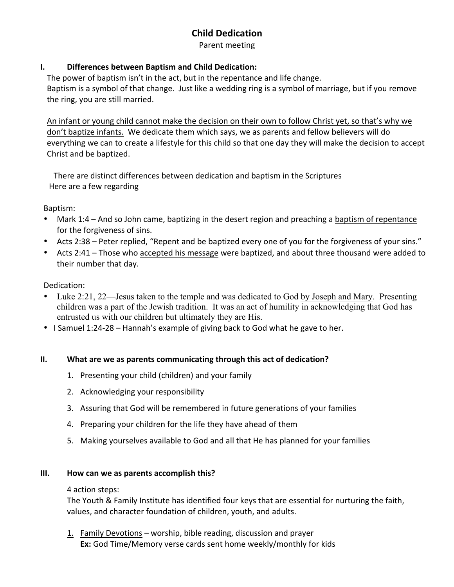# **Child Dedication**

Parent meeting

### **I. Differences between Baptism and Child Dedication:**

The power of baptism isn't in the act, but in the repentance and life change. Baptism is a symbol of that change. Just like a wedding ring is a symbol of marriage, but if you remove the ring, you are still married.

An infant or young child cannot make the decision on their own to follow Christ yet, so that's why we don't baptize infants. We dedicate them which says, we as parents and fellow believers will do everything we can to create a lifestyle for this child so that one day they will make the decision to accept Christ and be baptized.

There are distinct differences between dedication and baptism in the Scriptures Here are a few regarding

#### Baptism:

- Mark 1:4 And so John came, baptizing in the desert region and preaching a baptism of repentance for the forgiveness of sins.
- Acts 2:38 Peter replied, "Repent and be baptized every one of you for the forgiveness of your sins."
- Acts 2:41 Those who accepted his message were baptized, and about three thousand were added to their number that day.

### Dedication:

- Luke 2:21, 22—Jesus taken to the temple and was dedicated to God by Joseph and Mary. Presenting children was a part of the Jewish tradition. It was an act of humility in acknowledging that God has entrusted us with our children but ultimately they are His.
- I Samuel 1:24-28 Hannah's example of giving back to God what he gave to her.

#### **II. What are we as parents communicating through this act of dedication?**

- 1. Presenting your child (children) and your family
- 2. Acknowledging your responsibility
- 3. Assuring that God will be remembered in future generations of your families
- 4. Preparing your children for the life they have ahead of them
- 5. Making yourselves available to God and all that He has planned for your families

#### **III.** How can we as parents accomplish this?

#### 4 action steps:

The Youth & Family Institute has identified four keys that are essential for nurturing the faith, values, and character foundation of children, youth, and adults.

1. Family Devotions – worship, bible reading, discussion and prayer **Ex:** God Time/Memory verse cards sent home weekly/monthly for kids